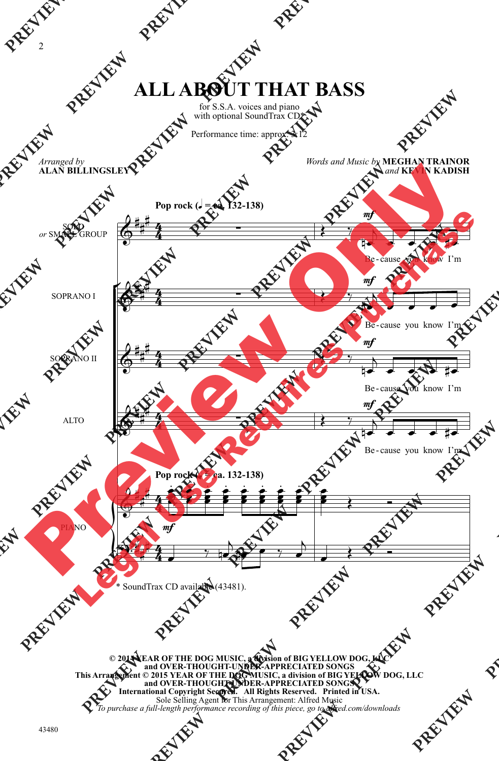## **ALL ABOUT THAT BASS**

for S.S.A. voices and piano with optional SoundTrax CD<sup>\*</sup>

Performance time: approx. 3:12



**© 2014 YEAR OF THE DOG MUSIC, a division of BIG YELLOW DOG, LLC and OVER-THOUGHT-UNDER-APPRECIATED SONGS This Arrangement © 2015 YEAR OF THE DOG MUSIC, a division of BIG YELLOW DOG, LLC and OVER-THOUGHT-UNDER-APPRECIATED SONGS International Copyright Secured. All Rights Reserved. Printed in USA.** Sole Selling Agent for This Arrangement: Alfred Music *To purchase a full-length performance recording of this piece, go to alfred.com/downloads*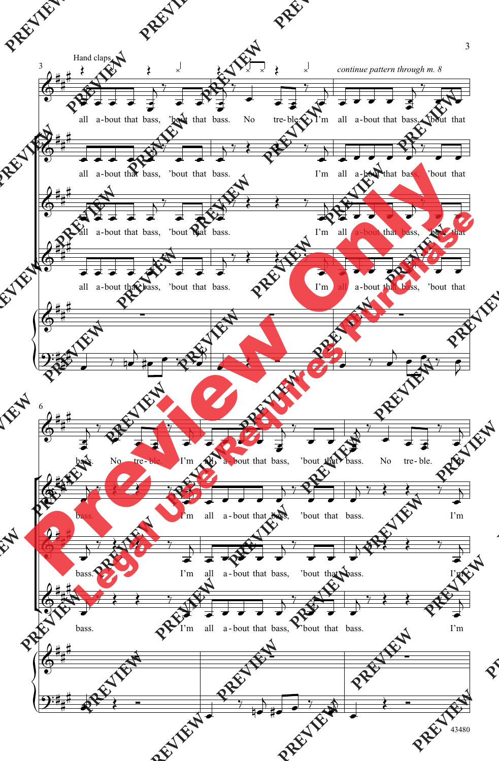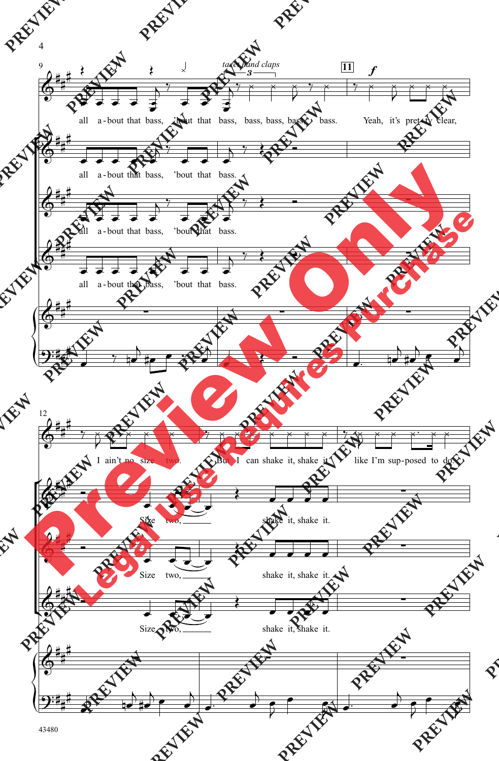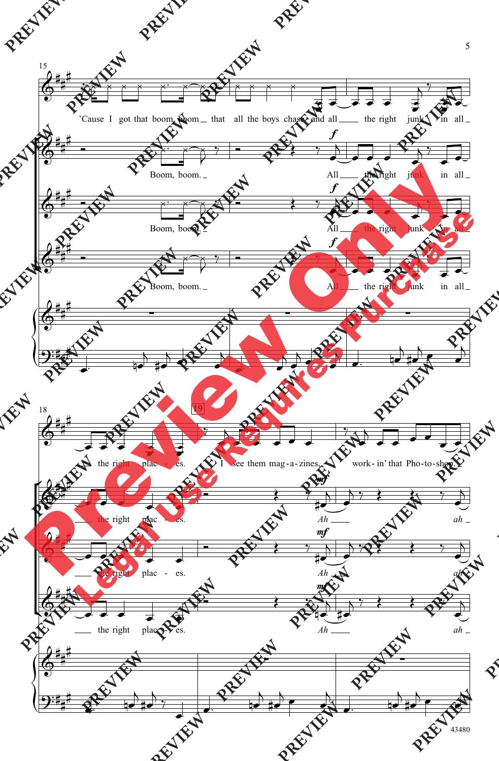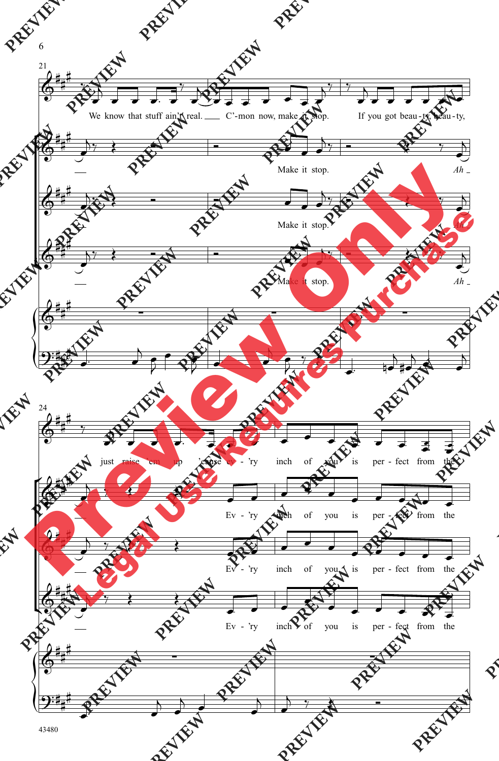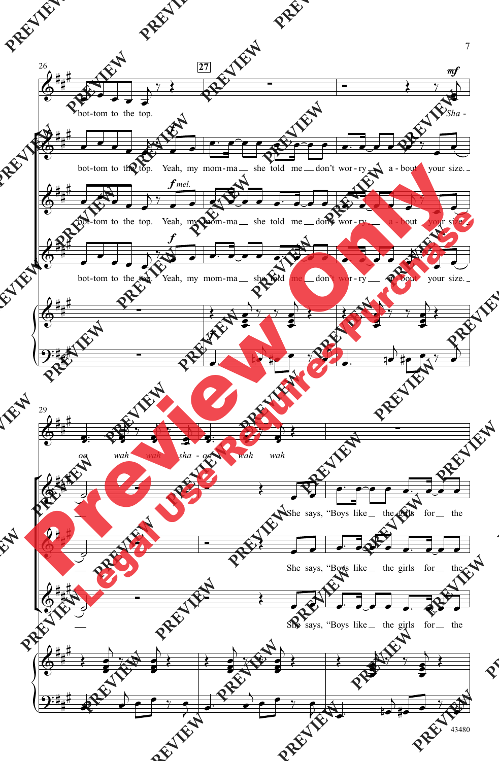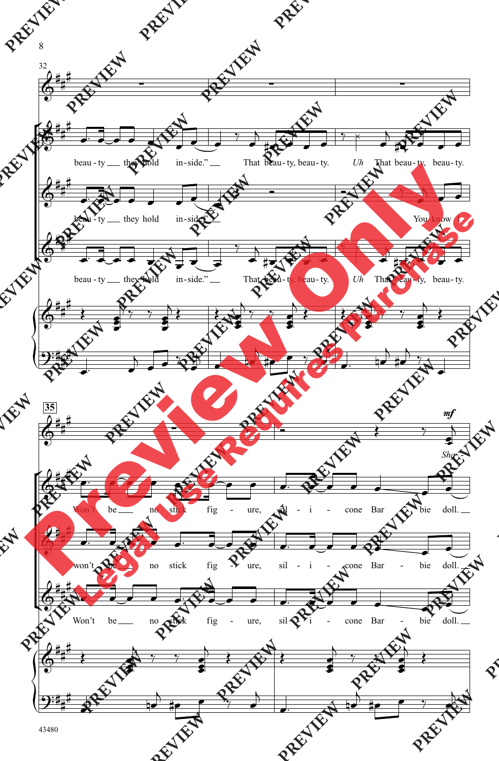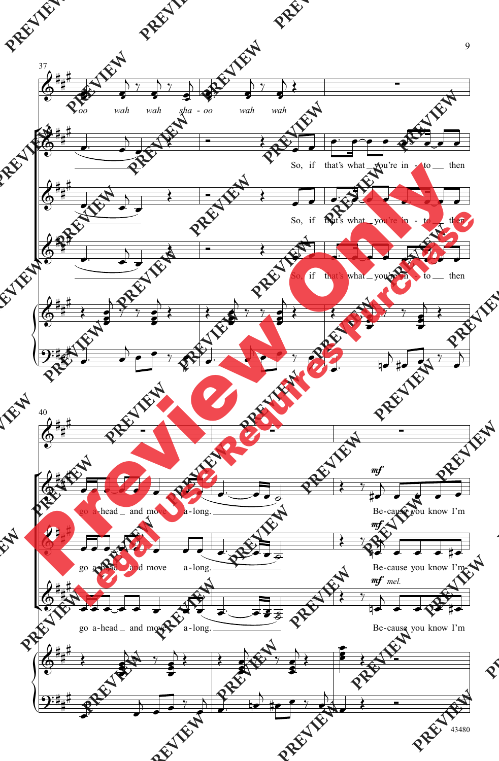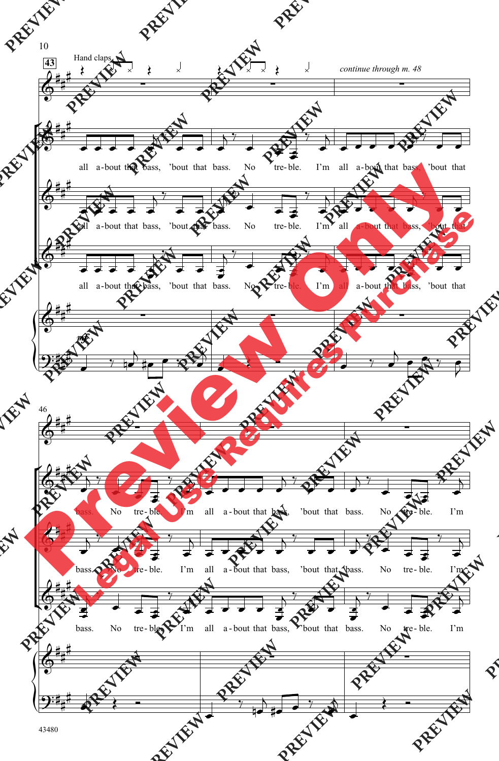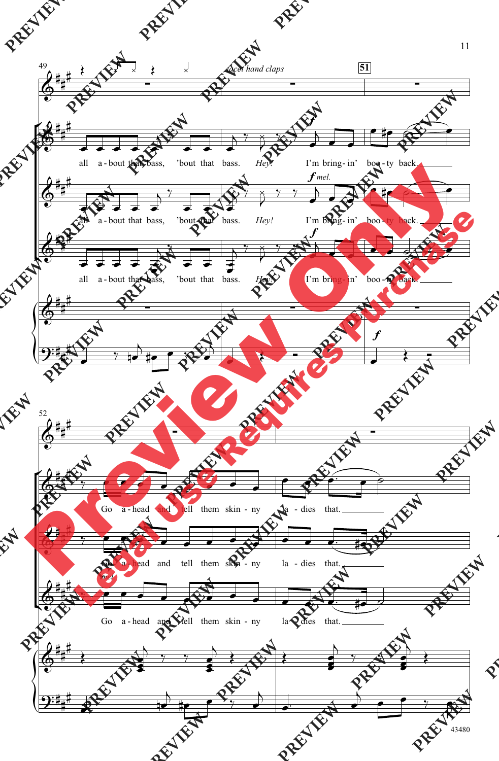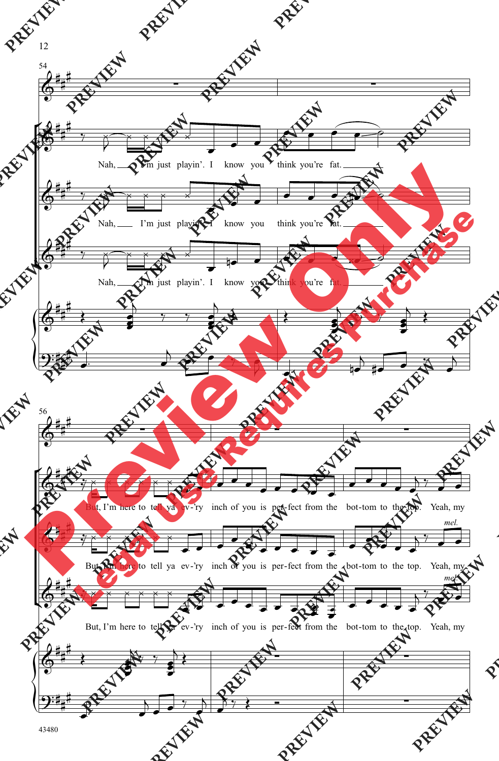![](_page_10_Figure_0.jpeg)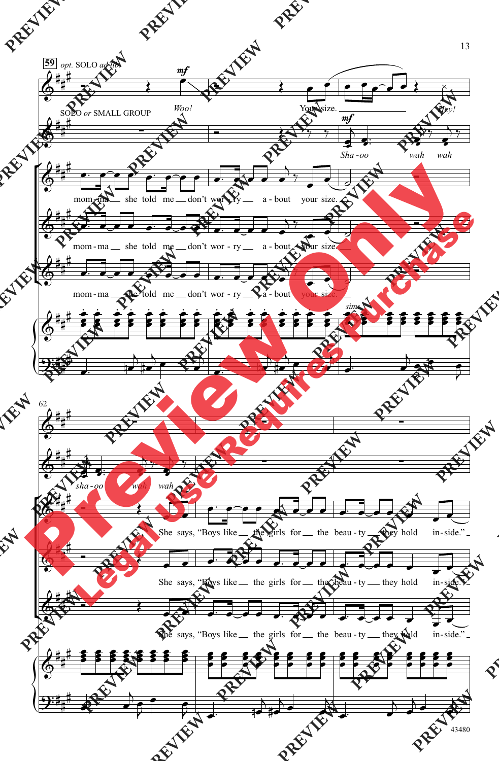![](_page_11_Figure_0.jpeg)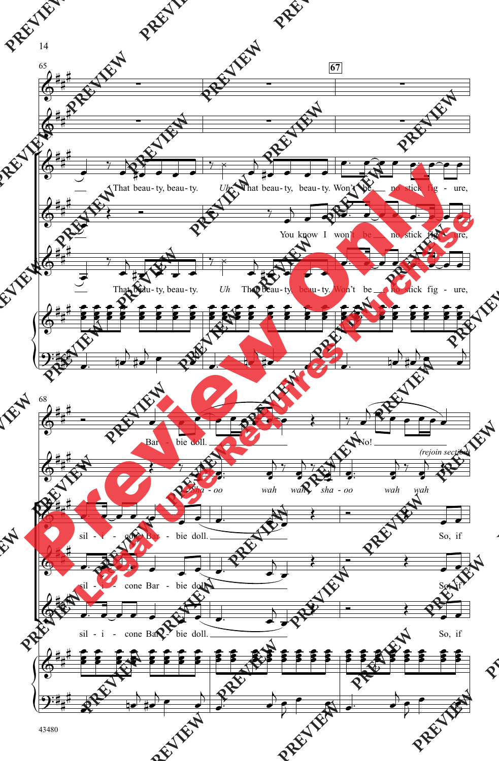![](_page_12_Figure_0.jpeg)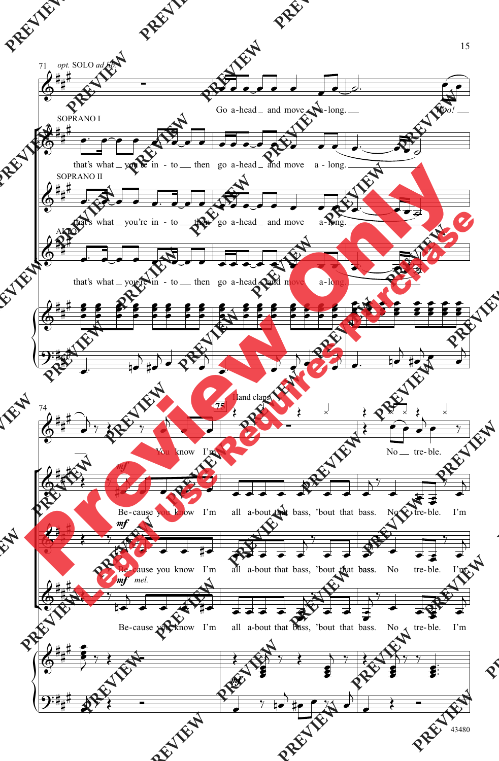![](_page_13_Figure_0.jpeg)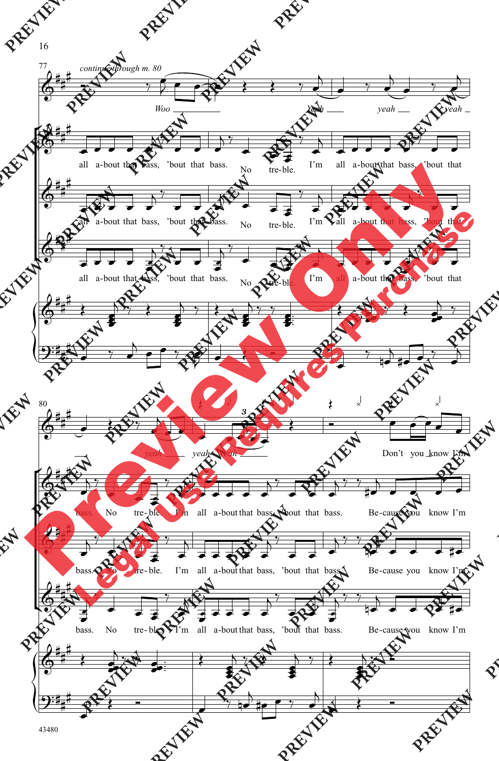![](_page_14_Figure_0.jpeg)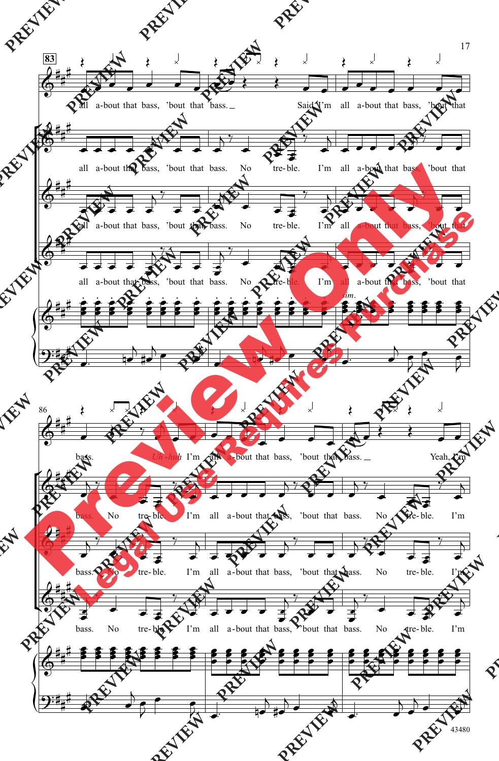![](_page_15_Figure_0.jpeg)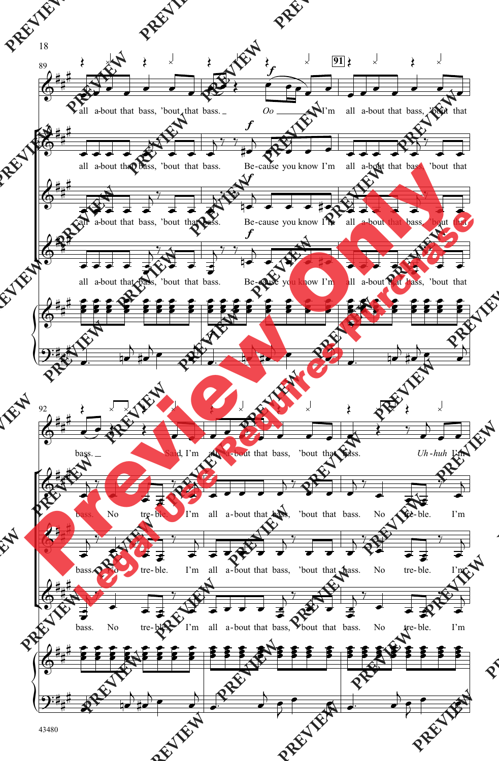![](_page_16_Figure_0.jpeg)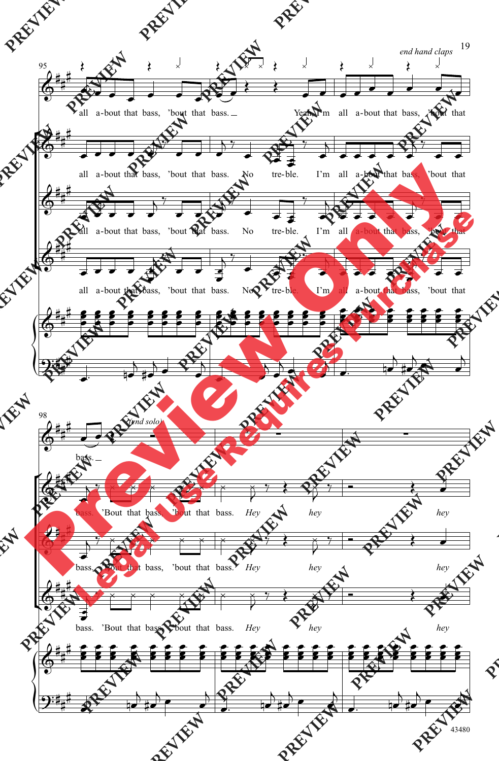![](_page_17_Figure_0.jpeg)